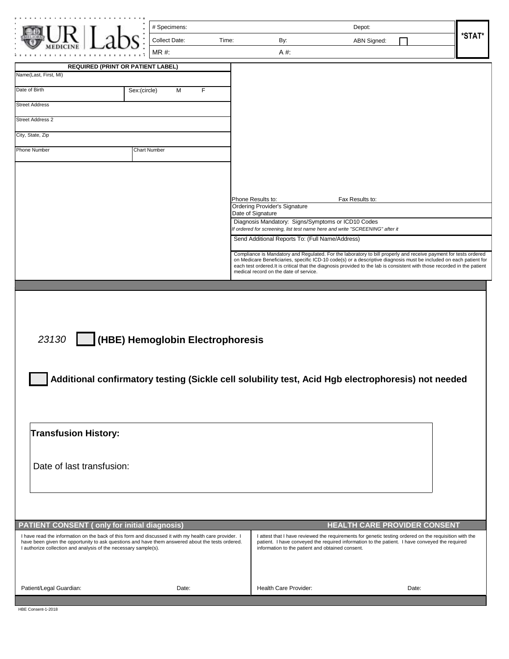|                                                                                                                                                                     | # Specimens:                                                                                                                           |                                                           |                                                    | Depot:                                                                                                                                                                                                                                 |        |
|---------------------------------------------------------------------------------------------------------------------------------------------------------------------|----------------------------------------------------------------------------------------------------------------------------------------|-----------------------------------------------------------|----------------------------------------------------|----------------------------------------------------------------------------------------------------------------------------------------------------------------------------------------------------------------------------------------|--------|
|                                                                                                                                                                     | <b>Collect Date:</b>                                                                                                                   | Time:                                                     | By:                                                | ABN Signed:                                                                                                                                                                                                                            | *STAT* |
|                                                                                                                                                                     | MR #:                                                                                                                                  |                                                           | A #:                                               |                                                                                                                                                                                                                                        |        |
| <b>REQUIRED (PRINT OR PATIENT LABEL)</b>                                                                                                                            |                                                                                                                                        |                                                           |                                                    |                                                                                                                                                                                                                                        |        |
| Name(Last, First, MI)                                                                                                                                               |                                                                                                                                        |                                                           |                                                    |                                                                                                                                                                                                                                        |        |
| Date of Birth                                                                                                                                                       | Sex:(circle)<br>F<br>м                                                                                                                 |                                                           |                                                    |                                                                                                                                                                                                                                        |        |
| <b>Street Address</b>                                                                                                                                               |                                                                                                                                        |                                                           |                                                    |                                                                                                                                                                                                                                        |        |
| <b>Street Address 2</b>                                                                                                                                             |                                                                                                                                        |                                                           |                                                    |                                                                                                                                                                                                                                        |        |
| City, State, Zip                                                                                                                                                    |                                                                                                                                        |                                                           |                                                    |                                                                                                                                                                                                                                        |        |
| Phone Number                                                                                                                                                        | <b>Chart Number</b>                                                                                                                    |                                                           |                                                    |                                                                                                                                                                                                                                        |        |
|                                                                                                                                                                     |                                                                                                                                        |                                                           |                                                    |                                                                                                                                                                                                                                        |        |
|                                                                                                                                                                     |                                                                                                                                        |                                                           |                                                    |                                                                                                                                                                                                                                        |        |
|                                                                                                                                                                     |                                                                                                                                        |                                                           |                                                    |                                                                                                                                                                                                                                        |        |
|                                                                                                                                                                     |                                                                                                                                        | Phone Results to:<br><b>Ordering Provider's Signature</b> |                                                    | Fax Results to:                                                                                                                                                                                                                        |        |
|                                                                                                                                                                     |                                                                                                                                        | Date of Signature                                         | Diagnosis Mandatory: Signs/Symptoms or ICD10 Codes |                                                                                                                                                                                                                                        |        |
|                                                                                                                                                                     |                                                                                                                                        |                                                           |                                                    | If ordered for screening, list test name here and write "SCREENING" after it                                                                                                                                                           |        |
|                                                                                                                                                                     |                                                                                                                                        |                                                           | Send Additional Reports To: (Full Name/Address)    |                                                                                                                                                                                                                                        |        |
|                                                                                                                                                                     |                                                                                                                                        |                                                           |                                                    | Compliance is Mandatory and Regulated. For the laboratory to bill properly and receive payment for tests ordered<br>on Medicare Beneficiaries, specific ICD-10 code(s) or a descriptive diagnosis must be included on each patient for |        |
|                                                                                                                                                                     |                                                                                                                                        | medical record on the date of service.                    |                                                    | each test ordered. It is critical that the diagnosis provided to the lab is consistent with those recorded in the patient                                                                                                              |        |
| 23130                                                                                                                                                               |                                                                                                                                        |                                                           |                                                    |                                                                                                                                                                                                                                        |        |
|                                                                                                                                                                     | (HBE) Hemoglobin Electrophoresis<br>Additional confirmatory testing (Sickle cell solubility test, Acid Hgb electrophoresis) not needed |                                                           |                                                    |                                                                                                                                                                                                                                        |        |
| <b>Transfusion History:</b>                                                                                                                                         |                                                                                                                                        |                                                           |                                                    |                                                                                                                                                                                                                                        |        |
| Date of last transfusion:                                                                                                                                           |                                                                                                                                        |                                                           |                                                    |                                                                                                                                                                                                                                        |        |
|                                                                                                                                                                     |                                                                                                                                        |                                                           |                                                    |                                                                                                                                                                                                                                        |        |
| <b>PATIENT CONSENT (only for initial diagnosis)</b><br>I have read the information on the back of this form and discussed it with my health care provider. I        |                                                                                                                                        |                                                           |                                                    | <b>HEALTH CARE PROVIDER CONSENT</b><br>I attest that I have reviewed the requirements for genetic testing ordered on the requisition with the                                                                                          |        |
| have been given the opportunity to ask questions and have them answered about the tests ordered.<br>I authorize collection and analysis of the necessary sample(s). |                                                                                                                                        |                                                           | information to the patient and obtained consent.   | patient. I have conveyed the required information to the patient. I have conveyed the required                                                                                                                                         |        |